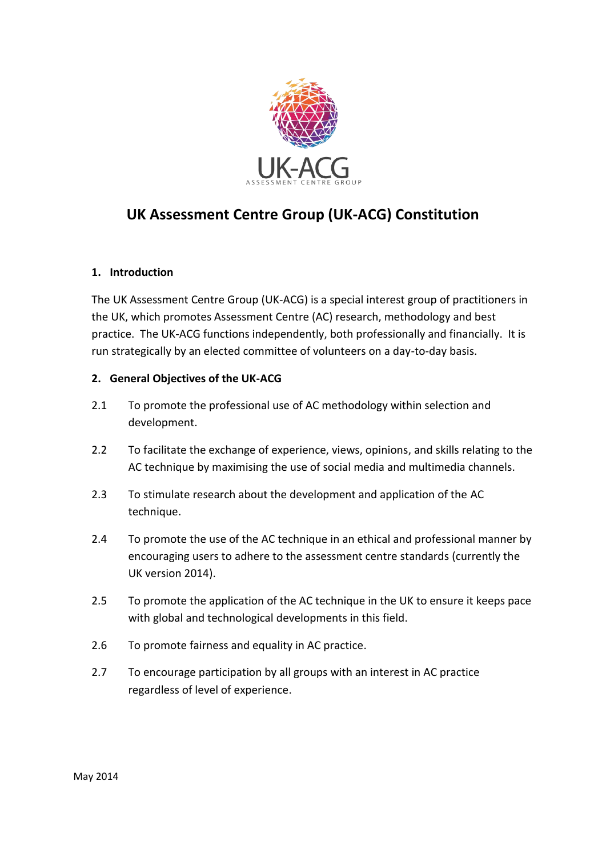

# **UK Assessment Centre Group (UK-ACG) Constitution**

### **1. Introduction**

The UK Assessment Centre Group (UK-ACG) is a special interest group of practitioners in the UK, which promotes Assessment Centre (AC) research, methodology and best practice. The UK-ACG functions independently, both professionally and financially. It is run strategically by an elected committee of volunteers on a day-to-day basis.

#### **2. General Objectives of the UK-ACG**

- 2.1 To promote the professional use of AC methodology within selection and development.
- 2.2 To facilitate the exchange of experience, views, opinions, and skills relating to the AC technique by maximising the use of social media and multimedia channels.
- 2.3 To stimulate research about the development and application of the AC technique.
- 2.4 To promote the use of the AC technique in an ethical and professional manner by encouraging users to adhere to the assessment centre standards (currently the UK version 2014).
- 2.5 To promote the application of the AC technique in the UK to ensure it keeps pace with global and technological developments in this field.
- 2.6 To promote fairness and equality in AC practice.
- 2.7 To encourage participation by all groups with an interest in AC practice regardless of level of experience.